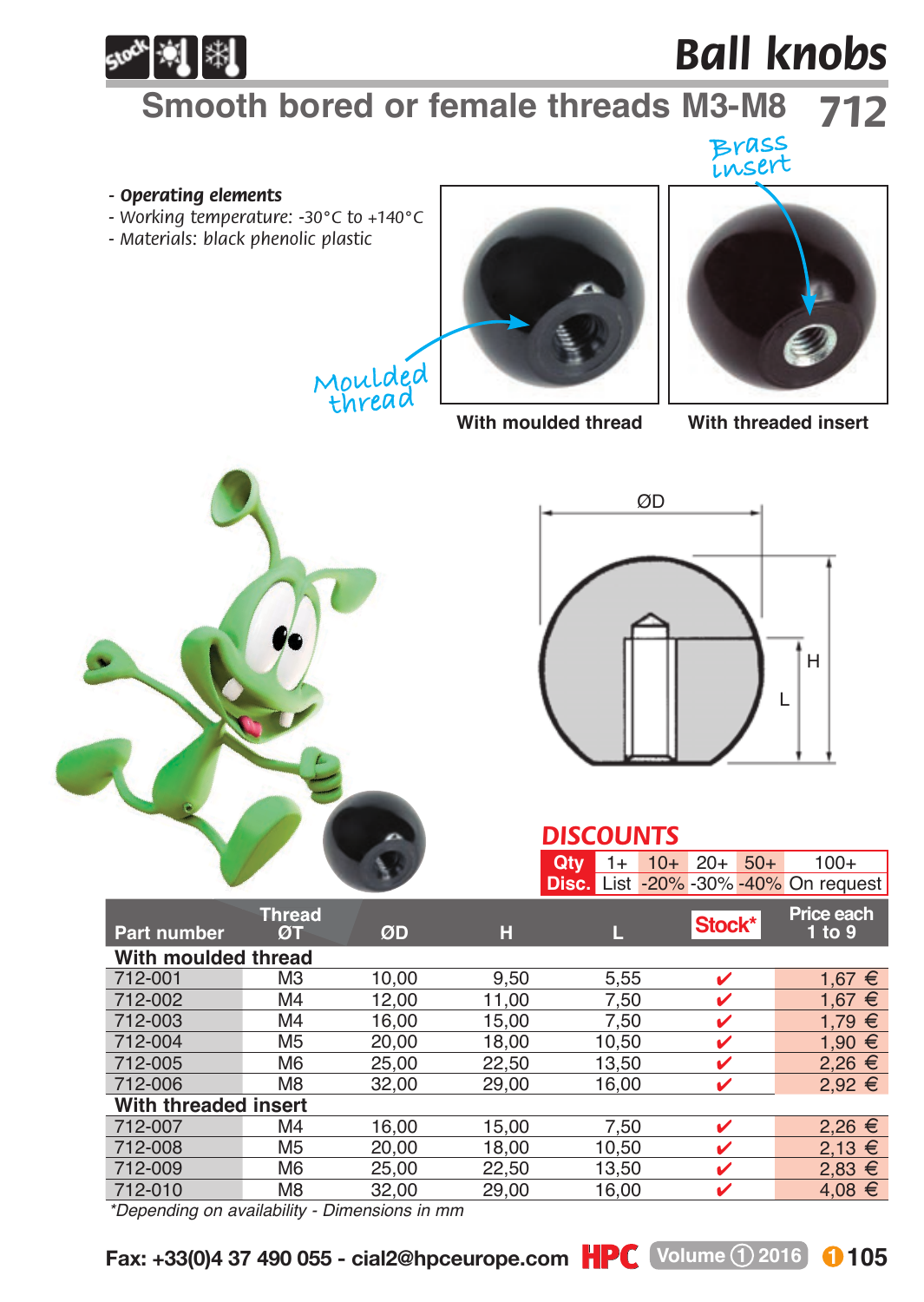

# *Ball knobs*

## **Smooth bored or female threads M3-M8** *712*

## **Brass insert**

#### *- Operating elements*

- *Working temperature: -30°C to +140°C*
- *Materials: black phenolic plastic*







#### **With moulded thread With threaded insert**



#### *DISCOUNTS* **Qty** 1+ 10+ 20+ 50+ 100+

|                      |                     |       |       | <b>Disc.</b> List -20% -30% -40% On request |        |                      |
|----------------------|---------------------|-------|-------|---------------------------------------------|--------|----------------------|
| <b>Part number</b>   | <b>Thread</b><br>ØТ | ØD    | н     | Π                                           | Stock* | Price each<br>1 to 9 |
| With moulded thread  |                     |       |       |                                             |        |                      |
| 712-001              | M <sub>3</sub>      | 10.00 | 9.50  | 5,55                                        | v      | 1.67 $∈$             |
| 712-002              | M <sub>4</sub>      | 12.00 | 11.00 | 7.50                                        | ✓      | $1.67 \in$           |
| 712-003              | M <sub>4</sub>      | 16.00 | 15.00 | 7.50                                        | ✓      | $1.79 \epsilon$      |
| 712-004              | M <sub>5</sub>      | 20.00 | 18.00 | 10.50                                       | v      | 1.90 $€$             |
| 712-005              | M <sub>6</sub>      | 25.00 | 22.50 | 13.50                                       | v      | $2.26 \in$           |
| 712-006              | M <sub>8</sub>      | 32.00 | 29,00 | 16,00                                       | v      | $2,92 \in$           |
| With threaded insert |                     |       |       |                                             |        |                      |
| 712-007              | M <sub>4</sub>      | 16.00 | 15.00 | 7.50                                        | v      | $2,26 \in$           |
| 712-008              | M <sub>5</sub>      | 20.00 | 18.00 | 10.50                                       | v      | $2.13 \t∈$           |
| 712-009              | M <sub>6</sub>      | 25.00 | 22.50 | 13.50                                       | ✓      | $2.83 \in$           |
| 712-010              | M <sub>8</sub>      | 32.00 | 29.00 | 16.00                                       | v      | $4.08 \in$           |
|                      |                     |       |       |                                             |        |                      |

*\*Depending on availability - Dimensions in mm*